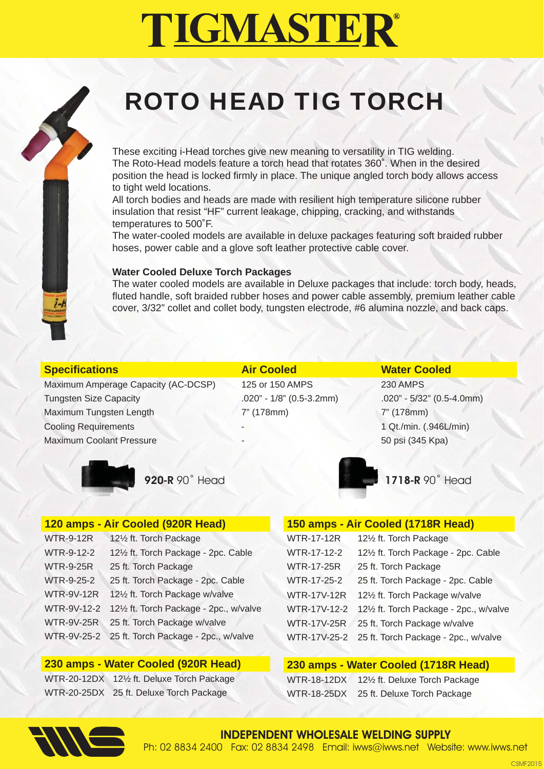### ROTO HEAD TIG TORCH

These exciting i-Head torches give new meaning to versatility in TIG welding. The Roto-Head models feature a torch head that rotates 360˚. When in the desired position the head is locked firmly in place. The unique angled torch body allows access to tight weld locations.

All torch bodies and heads are made with resilient high temperature silicone rubber insulation that resist "HF" current leakage, chipping, cracking, and withstands temperatures to 500˚F.

The water-cooled models are available in deluxe packages featuring soft braided rubber hoses, power cable and a glove soft leather protective cable cover.

#### **Water Cooled Deluxe Torch Packages**

The water cooled models are available in Deluxe packages that include: torch body, heads, fluted handle, soft braided rubber hoses and power cable assembly, premium leather cable cover, 3/32" collet and collet body, tungsten electrode, #6 alumina nozzle, and back caps.

| <b>Specifications</b> |  |  |  |
|-----------------------|--|--|--|
|                       |  |  |  |

Maximum Amperage Capacity (AC-DCSP) 125 or 150 AMPS 230 AMPS Tungsten Size Capacity .020" - 1/8" (0.5-3.2mm) .020" - 5/32" (0.5-4.0mm) Maximum Tungsten Length 7" (178mm) 7" (178mm) 7" (178mm) Cooling Requirements - 1 Qt./min. (.946L/min) Maximum Coolant Pressure - 50 psi (345 Kpa)

#### **Air Cooled Water Cooled**



### **120 amps - Air Cooled (920R Head)**

| <b>WTR-9-12R</b>   | 121/2 ft. Torch Package                          |
|--------------------|--------------------------------------------------|
| <b>WTR-9-12-2</b>  | 121/2 ft. Torch Package - 2pc. Cable             |
| <b>WTR-9-25R</b>   | 25 ft. Torch Package                             |
| WTR-9-25-2         | 25 ft. Torch Package - 2pc. Cable                |
| <b>WTR-9V-12R</b>  | 121/2 ft. Torch Package w/valve                  |
| <b>WTR-9V-12-2</b> | 121/2 ft. Torch Package - 2pc., w/valve          |
| <b>WTR-9V-25R</b>  | 25 ft. Torch Package w/valve                     |
|                    | WTR-9V-25-2 25 ft. Torch Package - 2pc., w/valve |

### **230 amps - Water Cooled (920R Head)**

WTR-20-12DX 12½ ft. Deluxe Torch Package WTR-20-25DX 25 ft. Deluxe Torch Package

**920-R** 90° Head **1718-R** 90° Head

#### **150 amps - Air Cooled (1718R Head)**

| <b>WTR-17-12R</b>  | 121/2 ft. Torch Package                           |
|--------------------|---------------------------------------------------|
| WTR-17-12-2        | 121/2 ft. Torch Package - 2pc. Cable              |
| <b>WTR-17-25R</b>  | 25 ft. Torch Package                              |
| WTR-17-25-2        | 25 ft. Torch Package - 2pc. Cable                 |
| <b>WTR-17V-12R</b> | 121/2 ft. Torch Package w/valve                   |
| WTR-17V-12-2       | 121/2 ft. Torch Package - 2pc., w/valve           |
| <b>WTR-17V-25R</b> | 25 ft. Torch Package w/valve                      |
|                    | WTR-17V-25-2 25 ft. Torch Package - 2pc., w/valve |
|                    |                                                   |

#### **230 amps - Water Cooled (1718R Head)**

WTR-18-12DX 12½ ft. Deluxe Torch Package WTR-18-25DX 25 ft. Deluxe Torch Package

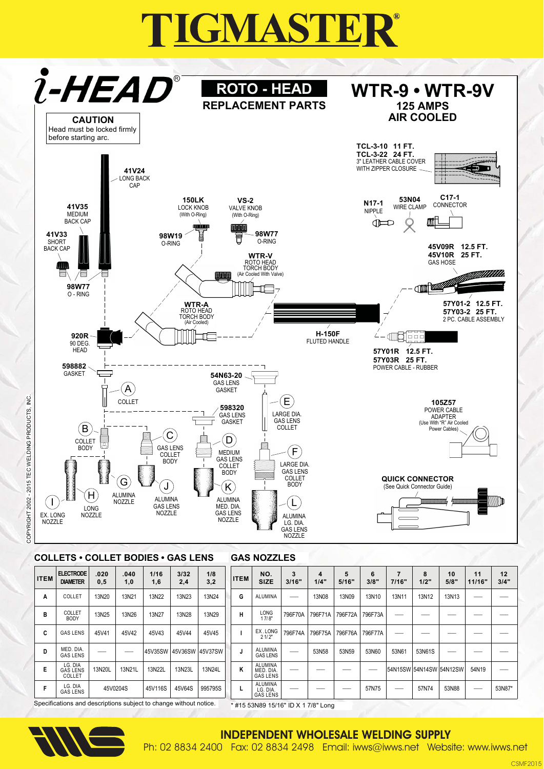

#### **COLLETS • COLLET BODIES • GAS LENS GAS NOZZLES**

| <b>ITEM</b>                                                                                              | <b>ELECTRODE</b><br><b>DIAMETER</b>  | .020<br>0,5 | .040<br>1,0 | 1/16<br>1,6 | 3/32<br>2,4     | 1/8<br>3,2 | <b>ITEM</b> | NO.<br><b>SIZE</b>                             | 3<br>3/16" | 4<br>1/4"    | 5<br>5/16" | 6<br>3/8" | $\overline{7}$<br>7/16" | 8<br>1/2" | 10<br>5/8" | 11<br>11/16" | 12<br>3/4" |
|----------------------------------------------------------------------------------------------------------|--------------------------------------|-------------|-------------|-------------|-----------------|------------|-------------|------------------------------------------------|------------|--------------|------------|-----------|-------------------------|-----------|------------|--------------|------------|
| A                                                                                                        | COLLET                               | 13N20       | 13N21       | 13N22       | 13N23           | 13N24      | G           | <b>ALUMINA</b>                                 | ___        | <b>13N08</b> | 13N09      | 13N10     | 13N11                   | 13N12     | 13N13      | ---          |            |
| B                                                                                                        | <b>COLLET</b><br><b>BODY</b>         | 13N25       | 13N26       | 13N27       | 13N28           | 13N29      | н           | LONG<br>17/8"                                  | 796F70A    | 796F71A      | 796F72A    | 796F73A   | --                      |           |            |              |            |
| C                                                                                                        | <b>GAS LENS</b>                      | 45V41       | 45V42       | 45V43       | 45V44           | 45V45      |             | EX.LONG<br>21/2"                               | 796F74A    | 796F75A      | 796F76A    | 796F77A   | __                      |           |            |              |            |
| D                                                                                                        | MED, DIA.<br><b>GAS LENS</b>         | __          |             | 45V35SW     | 45V36SW 45V37SW |            |             | <b>ALUMINA</b><br><b>GAS LENS</b>              |            | 53N58        | 53N59      | 53N60     | 53N61                   | 53N61S    |            |              |            |
| Е                                                                                                        | LG. DIA<br><b>GAS LENS</b><br>COLLET | 13N20L      | 13N21L      | 13N22L      | 13N23L          | 13N24L     | κ           | <b>ALUMINA</b><br>MED. DIA.<br><b>GAS LENS</b> | __         |              |            |           | 54N15SW 54N14SW 54N12SW |           |            | 54N19        |            |
| F                                                                                                        | LG. DIA<br><b>GAS LENS</b>           | 45V0204S    |             | 45V116S     | 45V64S          | 995795S    |             | ALUMINA<br>LG. DIA.<br><b>GAS LENS</b>         | ___        |              |            | 57N75     | ___                     | 57N74     | 53N88      |              | 53N87*     |
| Specifications and descriptions subject to change without notice.<br>* #15 53N89 15/16" ID X 1 7/8" Long |                                      |             |             |             |                 |            |             |                                                |            |              |            |           |                         |           |            |              |            |

ct to change without notice. bje



io<br>≧

2015 TEC WELDING PRODUCTS.

COPYRIGHT 2002

**INDEPENDENT WHOLESALE WELDING SUPPLY** 

Ph: 02 8834 2400 Fax: 02 8834 2498 Email: iwws@iwws.net Website: www.iwws.net

**CSMF2015**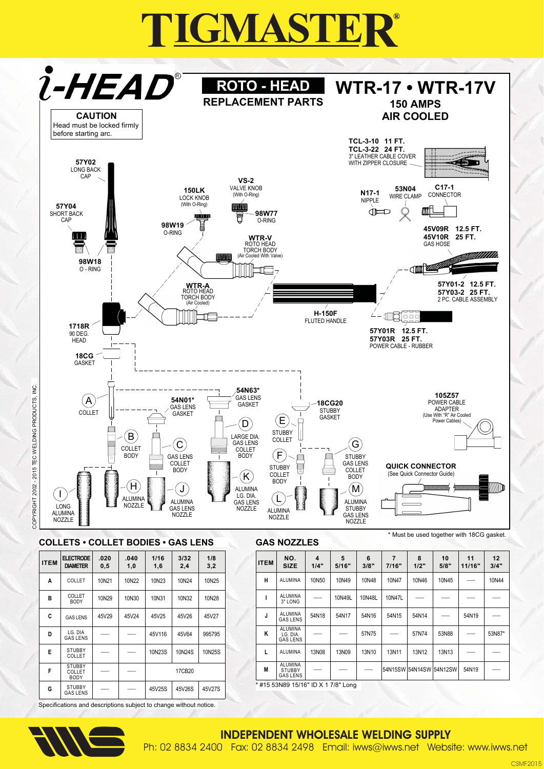

D

F

F

G

LG. DIA<br>GAS LENS

STUBBY<br>COLLET

STUBBY<br>COLLET

BOD)

**STUBBY** 

GAS LENS

45V116

10N23S

45V25S

Specifications and descriptions subject to change without notice.

45V64

10N24S

17CB20

45V26S

995795

10N25S

45V27S

### **INDEPENDENT WHOLESALE WELDING SUPPLY**

13N08

#15 53N89 15/16" ID X 1 7/8" Long

AI UMINA

LG. DIA.<br>GAS LENS

ALUMINA

ALUMINA

STUBBY<br>GAS LENS

K

 $\mathbf{I}$ 

 $\mathbf{M}$ 

Ph: 02 8834 2400 Fax: 02 8834 2498 Email: iwws@iwws.net Website: www.iwws.net

13N09

57N75

13N10

13N11

54N15SW

57N74

13N12

54N14SW

53N88

13N13

54N12SW

54N19

53N87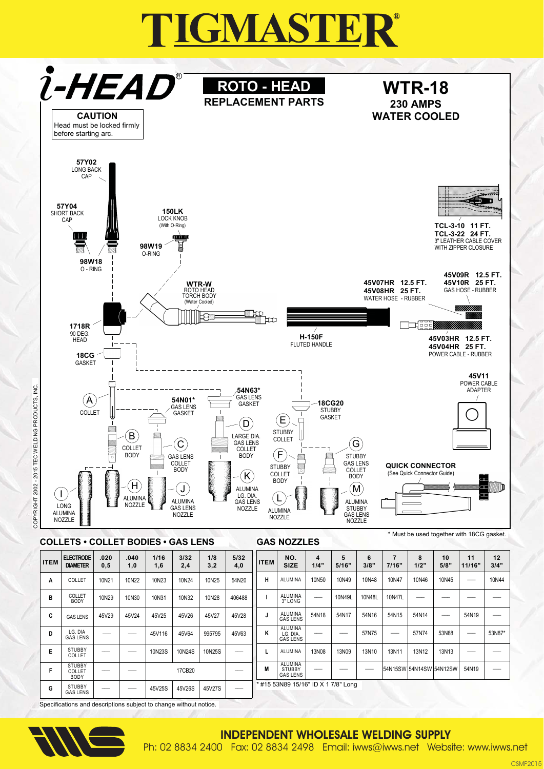

Specifications and descriptions subject to change without notice.



#### **INDEPENDENT WHOLESALE WELDING SUPPLY**

Ph: 02 8834 2400 Fax: 02 8834 2498 Email: iwws@iwws.net Website: www.iwws.net